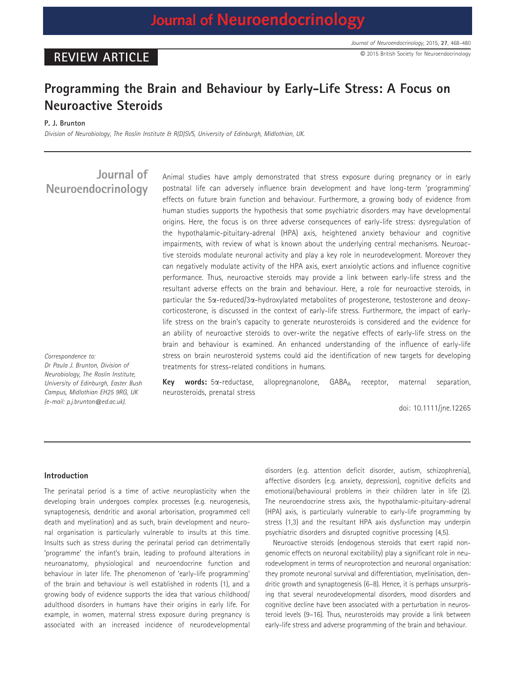# **Journal of Neuroendocrinology**

# REVIEW ARTICLE

# Programming the Brain and Behaviour by Early-Life Stress: A Focus on Neuroactive Steroids

#### P. L. Brunton

Division of Neurobiology, The Roslin Institute & R(D)SVS, University of Edinburgh, Midlothian, UK.

# Journal of Neuroendocrinology

Animal studies have amply demonstrated that stress exposure during pregnancy or in early postnatal life can adversely influence brain development and have long-term 'programming' effects on future brain function and behaviour. Furthermore, a growing body of evidence from human studies supports the hypothesis that some psychiatric disorders may have developmental origins. Here, the focus is on three adverse consequences of early-life stress: dysregulation of the hypothalamic-pituitary-adrenal (HPA) axis, heightened anxiety behaviour and cognitive impairments, with review of what is known about the underlying central mechanisms. Neuroactive steroids modulate neuronal activity and play a key role in neurodevelopment. Moreover they can negatively modulate activity of the HPA axis, exert anxiolytic actions and influence cognitive performance. Thus, neuroactive steroids may provide a link between early-life stress and the resultant adverse effects on the brain and behaviour. Here, a role for neuroactive steroids, in particular the 5a-reduced/3a-hydroxylated metabolites of progesterone, testosterone and deoxycorticosterone, is discussed in the context of early-life stress. Furthermore, the impact of earlylife stress on the brain's capacity to generate neurosteroids is considered and the evidence for an ability of neuroactive steroids to over-write the negative effects of early-life stress on the brain and behaviour is examined. An enhanced understanding of the influence of early-life stress on brain neurosteroid systems could aid the identification of new targets for developing treatments for stress-related conditions in humans.

#### Correspondence to:

Dr Paula J. Brunton, Division of Neurobiology, The Roslin Institute, University of Edinburgh, Easter Bush Campus, Midlothian EH25 9RG, UK (e-mail: p.j.brunton@ed.ac.uk).

Key words: 5 $\alpha$ -reductase, allopregnanolone, GABA<sub>A</sub> receptor, maternal separation, neurosteroids, prenatal stress

doi: 10.1111/jne.12265

# Introduction

The perinatal period is a time of active neuroplasticity when the developing brain undergoes complex processes (e.g. neurogenesis, synaptogenesis, dendritic and axonal arborisation, programmed cell death and myelination) and as such, brain development and neuronal organisation is particularly vulnerable to insults at this time. Insults such as stress during the perinatal period can detrimentally 'programme' the infant's brain, leading to profound alterations in neuroanatomy, physiological and neuroendocrine function and behaviour in later life. The phenomenon of 'early-life programming' of the brain and behaviour is well established in rodents (1), and a growing body of evidence supports the idea that various childhood/ adulthood disorders in humans have their origins in early life. For example, in women, maternal stress exposure during pregnancy is associated with an increased incidence of neurodevelopmental

disorders (e.g. attention deficit disorder, autism, schizophrenia), affective disorders (e.g. anxiety, depression), cognitive deficits and emotional/behavioural problems in their children later in life (2). The neuroendocrine stress axis, the hypothalamic-pituitary-adrenal (HPA) axis, is particularly vulnerable to early-life programming by stress (1,3) and the resultant HPA axis dysfunction may underpin psychiatric disorders and disrupted cognitive processing (4,5).

Neuroactive steroids (endogenous steroids that exert rapid nongenomic effects on neuronal excitability) play a significant role in neurodevelopment in terms of neuroprotection and neuronal organisation: they promote neuronal survival and differentiation, myelinisation, dendritic growth and synaptogenesis (6–8). Hence, it is perhaps unsurprising that several neurodevelopmental disorders, mood disorders and cognitive decline have been associated with a perturbation in neurosteroid levels (9–16). Thus, neurosteroids may provide a link between early-life stress and adverse programming of the brain and behaviour.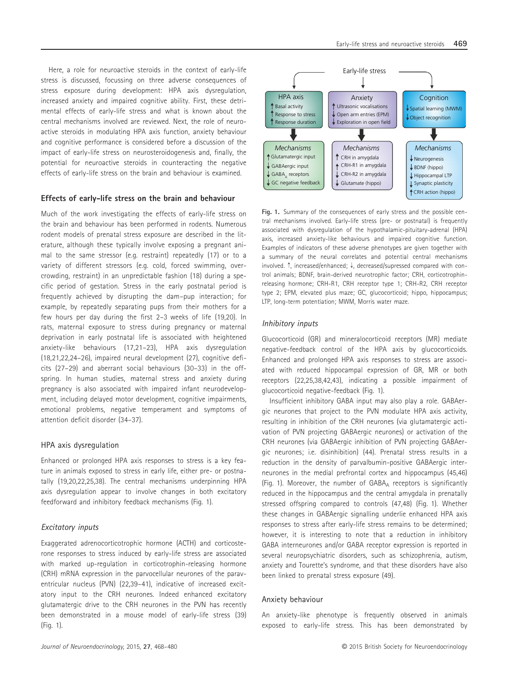Here, a role for neuroactive steroids in the context of early-life stress is discussed, focussing on three adverse consequences of stress exposure during development: HPA axis dysregulation, increased anxiety and impaired cognitive ability. First, these detrimental effects of early-life stress and what is known about the central mechanisms involved are reviewed. Next, the role of neuroactive steroids in modulating HPA axis function, anxiety behaviour and cognitive performance is considered before a discussion of the impact of early-life stress on neurosteroidogenesis and, finally, the potential for neuroactive steroids in counteracting the negative effects of early-life stress on the brain and behaviour is examined.

#### Effects of early-life stress on the brain and behaviour

Much of the work investigating the effects of early-life stress on the brain and behaviour has been performed in rodents. Numerous rodent models of prenatal stress exposure are described in the literature, although these typically involve exposing a pregnant animal to the same stressor (e.g. restraint) repeatedly (17) or to a variety of different stressors (e.g. cold, forced swimming, overcrowding, restraint) in an unpredictable fashion (18) during a specific period of gestation. Stress in the early postnatal period is frequently achieved by disrupting the dam–pup interaction; for example, by repeatedly separating pups from their mothers for a few hours per day during the first 2–3 weeks of life (19,20). In rats, maternal exposure to stress during pregnancy or maternal deprivation in early postnatal life is associated with heightened anxiety-like behaviours (17,21–23), HPA axis dysregulation (18,21,22,24–26), impaired neural development (27), cognitive deficits (27–29) and aberrant social behaviours (30–33) in the offspring. In human studies, maternal stress and anxiety during pregnancy is also associated with impaired infant neurodevelopment, including delayed motor development, cognitive impairments, emotional problems, negative temperament and symptoms of attention deficit disorder (34–37).

#### HPA axis dysregulation

Enhanced or prolonged HPA axis responses to stress is a key feature in animals exposed to stress in early life, either pre- or postnatally (19,20,22,25,38). The central mechanisms underpinning HPA axis dysregulation appear to involve changes in both excitatory feedforward and inhibitory feedback mechanisms (Fig. 1).

#### Excitatory inputs

Exaggerated adrenocorticotrophic hormone (ACTH) and corticosterone responses to stress induced by early-life stress are associated with marked up-regulation in corticotrophin-releasing hormone (CRH) mRNA expression in the parvocellular neurones of the paraventricular nucleus (PVN) (22,39–41), indicative of increased excitatory input to the CRH neurones. Indeed enhanced excitatory glutamatergic drive to the CRH neurones in the PVN has recently been demonstrated in a mouse model of early-life stress (39) (Fig. 1).



Fig. 1. Summary of the consequences of early stress and the possible central mechanisms involved. Early-life stress (pre- or postnatal) is frequently associated with dysregulation of the hypothalamic-pituitary-adrenal (HPA) axis, increased anxiety-like behaviours and impaired cognitive function. Examples of indicators of these adverse phenotypes are given together with a summary of the neural correlates and potential central mechanisms involved. ↑, increased/enhanced; ↓, decreased/supressed compared with control animals; BDNF, brain-derived neurotrophic factor; CRH, corticotrophinreleasing hormone; CRH-R1, CRH receptor type 1; CRH-R2, CRH receptor type 2; EPM, elevated plus maze; GC, glucocorticoid; hippo, hippocampus; LTP, long-term potentiation; MWM, Morris water maze.

#### Inhibitory inputs

Glucocorticoid (GR) and mineralocorticoid receptors (MR) mediate negative-feedback control of the HPA axis by glucocorticoids. Enhanced and prolonged HPA axis responses to stress are associated with reduced hippocampal expression of GR, MR or both receptors (22,25,38,42,43), indicating a possible impairment of glucocorticoid negative-feedback (Fig. 1).

Insufficient inhibitory GABA input may also play a role. GABAergic neurones that project to the PVN modulate HPA axis activity, resulting in inhibition of the CRH neurones (via glutamatergic activation of PVN projecting GABAergic neurones) or activation of the CRH neurones (via GABAergic inhibition of PVN projecting GABAergic neurones; i.e. disinhibition) (44). Prenatal stress results in a reduction in the density of parvalbumin-positive GABAergic interneurones in the medial prefrontal cortex and hippocampus (45,46) (Fig. 1). Moreover, the number of GABAA receptors is significantly reduced in the hippocampus and the central amygdala in prenatally stressed offspring compared to controls (47,48) (Fig. 1). Whether these changes in GABAergic signalling underlie enhanced HPA axis responses to stress after early-life stress remains to be determined; however, it is interesting to note that a reduction in inhibitory GABA interneurones and/or GABA receptor expression is reported in several neuropsychiatric disorders, such as schizophrenia, autism, anxiety and Tourette's syndrome, and that these disorders have also been linked to prenatal stress exposure (49).

#### Anxiety behaviour

An anxiety-like phenotype is frequently observed in animals exposed to early-life stress. This has been demonstrated by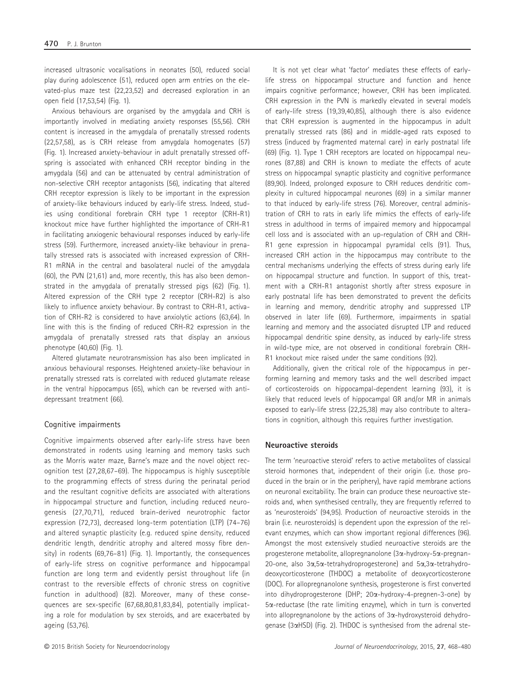increased ultrasonic vocalisations in neonates (50), reduced social play during adolescence (51), reduced open arm entries on the elevated-plus maze test (22,23,52) and decreased exploration in an open field (17,53,54) (Fig. 1).

Anxious behaviours are organised by the amygdala and CRH is importantly involved in mediating anxiety responses (55,56). CRH content is increased in the amygdala of prenatally stressed rodents (22,57,58), as is CRH release from amygdala homogenates (57) (Fig. 1). Increased anxiety-behaviour in adult prenatally stressed offspring is associated with enhanced CRH receptor binding in the amygdala (56) and can be attenuated by central administration of non-selective CRH receptor antagonists (56), indicating that altered CRH receptor expression is likely to be important in the expression of anxiety-like behaviours induced by early-life stress. Indeed, studies using conditional forebrain CRH type 1 receptor (CRH-R1) knockout mice have further highlighted the importance of CRH-R1 in facilitating anxiogenic behavioural responses induced by early-life stress (59). Furthermore, increased anxiety-like behaviour in prenatally stressed rats is associated with increased expression of CRH-R1 mRNA in the central and basolateral nuclei of the amygdala (60), the PVN (21,61) and, more recently, this has also been demonstrated in the amygdala of prenatally stressed pigs (62) (Fig. 1). Altered expression of the CRH type 2 receptor (CRH-R2) is also likely to influence anxiety behaviour. By contrast to CRH-R1, activation of CRH-R2 is considered to have anxiolytic actions (63,64). In line with this is the finding of reduced CRH-R2 expression in the amygdala of prenatally stressed rats that display an anxious phenotype (40,60) (Fig. 1).

Altered glutamate neurotransmission has also been implicated in anxious behavioural responses. Heightened anxiety-like behaviour in prenatally stressed rats is correlated with reduced glutamate release in the ventral hippocampus (65), which can be reversed with antidepressant treatment (66).

#### Cognitive impairments

Cognitive impairments observed after early-life stress have been demonstrated in rodents using learning and memory tasks such as the Morris water maze, Barne's maze and the novel object recognition test (27,28,67–69). The hippocampus is highly susceptible to the programming effects of stress during the perinatal period and the resultant cognitive deficits are associated with alterations in hippocampal structure and function, including reduced neurogenesis (27,70,71), reduced brain-derived neurotrophic factor expression (72,73), decreased long-term potentiation (LTP) (74–76) and altered synaptic plasticity (e.g. reduced spine density, reduced dendritic length, dendritic atrophy and altered mossy fibre density) in rodents (69,76–81) (Fig. 1). Importantly, the consequences of early-life stress on cognitive performance and hippocampal function are long term and evidently persist throughout life (in contrast to the reversible effects of chronic stress on cognitive function in adulthood) (82). Moreover, many of these consequences are sex-specific (67,68,80,81,83,84), potentially implicating a role for modulation by sex steroids, and are exacerbated by ageing (53,76).

It is not yet clear what 'factor' mediates these effects of earlylife stress on hippocampal structure and function and hence impairs cognitive performance; however, CRH has been implicated. CRH expression in the PVN is markedly elevated in several models of early-life stress (19,39,40,85), although there is also evidence that CRH expression is augmented in the hippocampus in adult prenatally stressed rats (86) and in middle-aged rats exposed to stress (induced by fragmented maternal care) in early postnatal life (69) (Fig. 1). Type 1 CRH receptors are located on hippocampal neurones (87,88) and CRH is known to mediate the effects of acute stress on hippocampal synaptic plasticity and cognitive performance (89,90). Indeed, prolonged exposure to CRH reduces dendritic complexity in cultured hippocampal neurones (69) in a similar manner to that induced by early-life stress (76). Moreover, central administration of CRH to rats in early life mimics the effects of early-life stress in adulthood in terms of impaired memory and hippocampal cell loss and is associated with an up-regulation of CRH and CRH-R1 gene expression in hippocampal pyramidal cells (91). Thus, increased CRH action in the hippocampus may contribute to the central mechanisms underlying the effects of stress during early life on hippocampal structure and function. In support of this, treatment with a CRH-R1 antagonist shortly after stress exposure in early postnatal life has been demonstrated to prevent the deficits in learning and memory, dendritic atrophy and suppressed LTP observed in later life (69). Furthermore, impairments in spatial learning and memory and the associated disrupted LTP and reduced hippocampal dendritic spine density, as induced by early-life stress in wild-type mice, are not observed in conditional forebrain CRH-R1 knockout mice raised under the same conditions (92).

Additionally, given the critical role of the hippocampus in performing learning and memory tasks and the well described impact of corticosteroids on hippocampal-dependent learning (93), it is likely that reduced levels of hippocampal GR and/or MR in animals exposed to early-life stress (22,25,38) may also contribute to alterations in cognition, although this requires further investigation.

#### Neuroactive steroids

The term 'neuroactive steroid' refers to active metabolites of classical steroid hormones that, independent of their origin (i.e. those produced in the brain or in the periphery), have rapid membrane actions on neuronal excitability. The brain can produce these neuroactive steroids and, when synthesised centrally, they are frequently referred to as 'neurosteroids' (94,95). Production of neuroactive steroids in the brain (i.e. neurosteroids) is dependent upon the expression of the relevant enzymes, which can show important regional differences (96). Amongst the most extensively studied neuroactive steroids are the progesterone metabolite, allopregnanolone (3a-hydroxy-5a-pregnan-20-one, also 3a,5a-tetrahydroprogesterone) and 5a,3a-tetrahydrodeoxycorticosterone (THDOC) a metabolite of deoxycorticosterone (DOC). For allopregnanolone synthesis, progesterone is first converted into dihydroprogesterone (DHP; 20a-hydroxy-4-pregnen-3-one) by 5a-reductase (the rate limiting enzyme), which in turn is converted into allopregnanolone by the actions of  $3\alpha$ -hydroxysteroid dehydrogenase (3aHSD) (Fig. 2). THDOC is synthesised from the adrenal ste-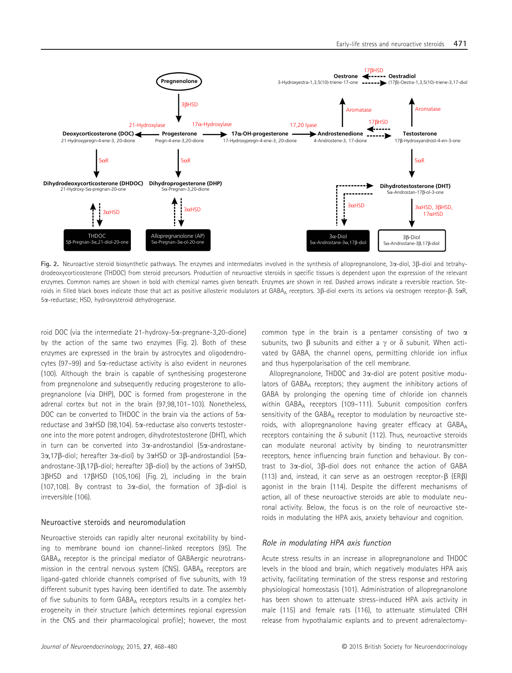

Fig. 2. Neuroactive steroid biosynthetic pathways. The enzymes and intermediates involved in the synthesis of allopregnanolone, 3a-diol, 3b-diol and tetrahydrodeoxycorticosterone (THDOC) from steroid precursors. Production of neuroactive steroids in specific tissues is dependent upon the expression of the relevant enzymes. Common names are shown in bold with chemical names given beneath. Enzymes are shown in red. Dashed arrows indicate a reversible reaction. Steroids in filled black boxes indicate those that act as positive allosteric modulators at GABA<sub>A</sub> receptors. 3B-diol exerts its actions via oestrogen receptor-B. 5xR, 5a-reductase; HSD, hydroxysteroid dehydrogenase.

roid DOC (via the intermediate 21-hydroxy-5a-pregnane-3,20-dione) by the action of the same two enzymes (Fig. 2). Both of these enzymes are expressed in the brain by astrocytes and oligodendrocytes (97–99) and 5a-reductase activity is also evident in neurones (100). Although the brain is capable of synthesising progesterone from pregnenolone and subsequently reducing progesterone to allopregnanolone (via DHP), DOC is formed from progesterone in the adrenal cortex but not in the brain (97,98,101–103). Nonetheless, DOC can be converted to THDOC in the brain via the actions of  $5\alpha$ reductase and 3aHSD (98,104). 5a-reductase also converts testosterone into the more potent androgen, dihydrotestosterone (DHT), which in turn can be converted into  $3\alpha$ -androstandiol ( $5\alpha$ -androstane- $3\alpha$ ,17 $\beta$ -diol; hereafter  $3\alpha$ -diol) by  $3\alpha$ HSD or  $3\beta$ -androstandiol (5 $\alpha$ androstane-3 $\beta$ ,17 $\beta$ -diol; hereafter 3 $\beta$ -diol) by the actions of 3 $\alpha$ HSD,  $3\beta$ HSD and 17 $\beta$ HSD (105,106) (Fig. 2), including in the brain (107,108). By contrast to  $3\alpha$ -diol, the formation of  $3\beta$ -diol is irreversible (106).

#### Neuroactive steroids and neuromodulation

Neuroactive steroids can rapidly alter neuronal excitability by binding to membrane bound ion channel-linked receptors (95). The GABAA receptor is the principal mediator of GABAergic neurotransmission in the central nervous system (CNS). GABAA receptors are ligand-gated chloride channels comprised of five subunits, with 19 different subunit types having been identified to date. The assembly of five subunits to form GABAA receptors results in a complex heterogeneity in their structure (which determines regional expression in the CNS and their pharmacological profile); however, the most common type in the brain is a pentamer consisting of two  $\alpha$ subunits, two  $\beta$  subunits and either a  $\gamma$  or  $\delta$  subunit. When activated by GABA, the channel opens, permitting chloride ion influx and thus hyperpolarisation of the cell membrane.

Allopregnanolone, THDOC and  $3\alpha$ -diol are potent positive modulators of GABA<sub>A</sub> receptors; they augment the inhibitory actions of GABA by prolonging the opening time of chloride ion channels within GABA<sub>A</sub> receptors (109-111). Subunit composition confers sensitivity of the GABAA receptor to modulation by neuroactive steroids, with allopregnanolone having greater efficacy at GABAA receptors containing the  $\delta$  subunit (112). Thus, neuroactive steroids can modulate neuronal activity by binding to neurotransmitter receptors, hence influencing brain function and behaviour. By contrast to 3 $\alpha$ -diol, 3 $\beta$ -diol does not enhance the action of GABA (113) and, instead, it can serve as an oestrogen receptor- $\beta$  (ER $\beta$ ) agonist in the brain (114). Despite the different mechanisms of action, all of these neuroactive steroids are able to modulate neuronal activity. Below, the focus is on the role of neuroactive steroids in modulating the HPA axis, anxiety behaviour and cognition.

#### Role in modulating HPA axis function

Acute stress results in an increase in allopregnanolone and THDOC levels in the blood and brain, which negatively modulates HPA axis activity, facilitating termination of the stress response and restoring physiological homeostasis (101). Administration of allopregnanolone has been shown to attenuate stress-induced HPA axis activity in male (115) and female rats (116), to attenuate stimulated CRH release from hypothalamic explants and to prevent adrenalectomy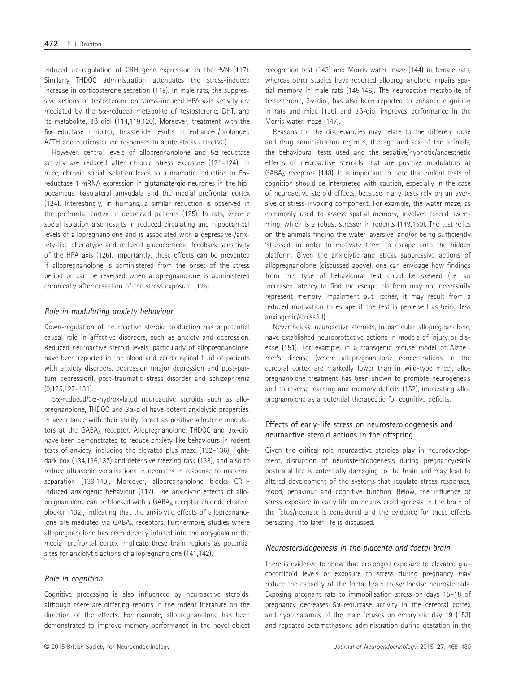induced up-regulation of CRH gene expression in the PVN (117). Similarly THDOC administration attenuates the stress-induced increase in corticosterone secretion (118). In male rats, the suppressive actions of testosterone on stress-induced HPA axis activity are mediated by the 5a-reduced metabolite of testosterone, DHT, and its metabolite, 3b-diol (114,119,120). Moreover, treatment with the 5a-reductase inhibitor, finasteride results in enhanced/prolonged ACTH and corticosterone responses to acute stress (116,120).

However, central levels of allopregnanolone and 5x-reductase activity are reduced after chronic stress exposure (121–124). In mice, chronic social isolation leads to a dramatic reduction in 5areductase 1 mRNA expression in glutamatergic neurones in the hippocampus, basolateral amygdala and the medial prefrontal cortex (124). Interestingly, in humans, a similar reduction is observed in the prefrontal cortex of depressed patients (125). In rats, chronic social isolation also results in reduced circulating and hippocampal levels of allopregnanolone and is associated with a depressive-/anxiety-like phenotype and reduced glucocorticoid feedback sensitivity of the HPA axis (126). Importantly, these effects can be prevented if allopregnanolone is administered from the onset of the stress period or can be reversed when allopregnanolone is administered chronically after cessation of the stress exposure (126).

#### Role in modulating anxiety behaviour

Down-regulation of neuroactive steroid production has a potential causal role in affective disorders, such as anxiety and depression. Reduced neuroactive steroid levels, particularly of allopregnanolone, have been reported in the blood and cerebrospinal fluid of patients with anxiety disorders, depression (major depression and post-partum depression), post-traumatic stress disorder and schizophrenia (9,125,127–131).

5a-reduced/3a-hydroxylated neuroactive steroids such as allopregnanolone, THDOC and  $3\alpha$ -diol have potent anxiolytic properties, in accordance with their ability to act as positive allosteric modulators at the GABA<sub>A</sub> receptor. Allopregnanolone, THDOC and  $3\alpha$ -diol have been demonstrated to reduce anxiety-like behaviours in rodent tests of anxiety, including the elevated plus maze (132–136), lightdark box (134,136,137) and defensive freezing task (138), and also to reduce ultrasonic vocalisations in neonates in response to maternal separation (139,140). Moreover, allopregnanolone blocks CRHinduced anxiogenic behaviour (117). The anxiolytic effects of allopregnanolone can be blocked with a GABA<sub>A</sub> receptor chloride channel blocker (132), indicating that the anxiolytic effects of allopregnanolone are mediated via GABA<sub>A</sub> receptors. Furthermore, studies where allopregnanolone has been directly infused into the amygdala or the medial prefrontal cortex implicate these brain regions as potential sites for anxiolytic actions of allopregnanolone (141,142).

#### Role in cognition

Cognitive processing is also influenced by neuroactive steroids, although there are differing reports in the rodent literature on the direction of the effects. For example, allopregnanolone has been demonstrated to improve memory performance in the novel object recognition test (143) and Morris water maze (144) in female rats, whereas other studies have reported allopregnanolone impairs spatial memory in male rats (145,146). The neuroactive metabolite of testosterone, 3a-diol, has also been reported to enhance cognition in rats and mice (136) and 3 $\beta$ -diol improves performance in the Morris water maze (147).

Reasons for the discrepancies may relate to the different dose and drug administration regimes, the age and sex of the animals, the behavioural tests used and the sedative/hypnotic/anaesthetic effects of neuroactive steroids that are positive modulators at GABAA receptors (148). It is important to note that rodent tests of cognition should be interpreted with caution, especially in the case of neuroactive steroid effects, because many tests rely on an aversive or stress-invoking component. For example, the water maze, as commonly used to assess spatial memory, involves forced swimming, which is a robust stressor in rodents (149,150). The test relies on the animals finding the water 'aversive' and/or being sufficiently 'stressed' in order to motivate them to escape onto the hidden platform. Given the anxiolytic and stress suppressive actions of allopregnanolone (discussed above), one can envisage how findings from this type of behavioural test could be skewed (i.e. an increased latency to find the escape platform may not necessarily represent memory impairment but, rather, it may result from a reduced motivation to escape if the test is perceived as being less anxiogenic/stressful).

Nevertheless, neuroactive steroids, in particular allopregnanolone, have established neuroprotective actions in models of injury or disease (151). For example, in a transgenic mouse model of Alzheimer's disease (where allopregnanolone concentrations in the cerebral cortex are markedly lower than in wild-type mice), allopregnanolone treatment has been shown to promote neurogenesis and to reverse learning and memory deficits (152), implicating allopregnanolone as a potential therapeutic for cognitive deficits.

## Effects of early-life stress on neurosteroidogenesis and neuroactive steroid actions in the offspring

Given the critical role neuroactive steroids play in neurodevelopment, disruption of neurosteroidogenesis during pregnancy/early postnatal life is potentially damaging to the brain and may lead to altered development of the systems that regulate stress responses, mood, behaviour and cognitive function. Below, the influence of stress exposure in early life on neurosteroidogenesis in the brain of the fetus/neonate is considered and the evidence for these effects persisting into later life is discussed.

#### Neurosteroidogenesis in the placenta and foetal brain

There is evidence to show that prolonged exposure to elevated glucocorticoid levels or exposure to stress during pregnancy may reduce the capacity of the foetal brain to synthesise neurosteroids. Exposing pregnant rats to immobilisation stress on days 15–18 of pregnancy decreases 5a-reductase activity in the cerebral cortex and hypothalamus of the male fetuses on embryonic day 19 (153) and repeated betamethasone administration during gestation in the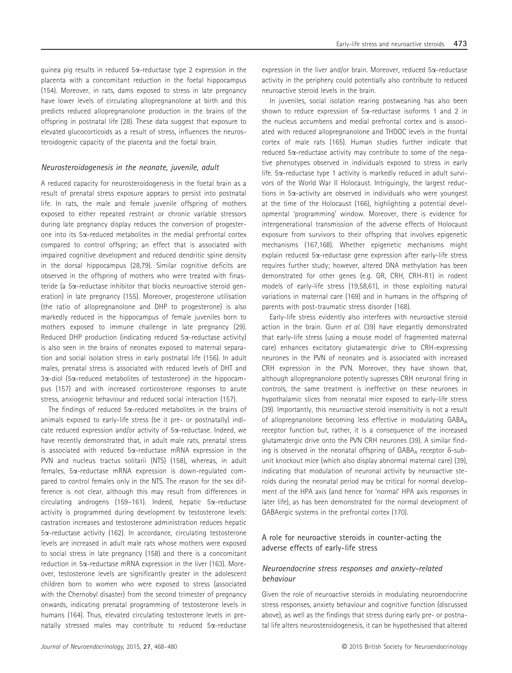guinea pig results in reduced 5a-reductase type 2 expression in the placenta with a concomitant reduction in the foetal hippocampus (154). Moreover, in rats, dams exposed to stress in late pregnancy have lower levels of circulating allopregnanolone at birth and this predicts reduced allopregnanolone production in the brains of the offspring in postnatal life (28). These data suggest that exposure to elevated glucocorticoids as a result of stress, influences the neurosteroidogenic capacity of the placenta and the foetal brain.

#### Neurosteroidogenesis in the neonate, juvenile, adult

A reduced capacity for neurosteroidogenesis in the foetal brain as a result of prenatal stress exposure appears to persist into postnatal life. In rats, the male and female juvenile offspring of mothers exposed to either repeated restraint or chronic variable stressors during late pregnancy display reduces the conversion of progesterone into its 5a-reduced metabolites in the medial prefrontal cortex compared to control offspring; an effect that is associated with impaired cognitive development and reduced dendritic spine density in the dorsal hippocampus (28,79). Similar cognitive deficits are observed in the offspring of mothers who were treated with finasteride (a 5a-reductase inhibitor that blocks neuroactive steroid generation) in late pregnancy (155). Moreover, progesterone utilisation (the ratio of allopregnanolone and DHP to progesterone) is also markedly reduced in the hippocampus of female juveniles born to mothers exposed to immune challenge in late pregnancy (29). Reduced DHP production (indicating reduced 5 $\alpha$ -reductase activity) is also seen in the brains of neonates exposed to maternal separation and social isolation stress in early postnatal life (156). In adult males, prenatal stress is associated with reduced levels of DHT and 3a-diol (5a-reduced metabolites of testosterone) in the hippocampus (157) and with increased corticosterone responses to acute stress, anxiogenic behaviour and reduced social interaction (157).

The findings of reduced 5a-reduced metabolites in the brains of animals exposed to early-life stress (be it pre- or postnatally) indicate reduced expression and/or activity of 5a-reductase. Indeed, we have recently demonstrated that, in adult male rats, prenatal stress is associated with reduced  $5\alpha$ -reductase mRNA expression in the PVN and nucleus tractus solitarii (NTS) (158), whereas, in adult females, 5a-reductase mRNA expression is down-regulated compared to control females only in the NTS. The reason for the sex difference is not clear, although this may result from differences in circulating androgens (159–161). Indeed, hepatic 5a-reductase activity is programmed during development by testosterone levels: castration increases and testosterone administration reduces hepatic 5a-reductase activity (162). In accordance, circulating testosterone levels are increased in adult male rats whose mothers were exposed to social stress in late pregnancy (158) and there is a concomitant reduction in 5a-reductase mRNA expression in the liver (163). Moreover, testosterone levels are significantly greater in the adolescent children born to women who were exposed to stress (associated with the Chernobyl disaster) from the second trimester of pregnancy onwards, indicating prenatal programming of testosterone levels in humans (164). Thus, elevated circulating testosterone levels in prenatally stressed males may contribute to reduced 5a-reductase expression in the liver and/or brain. Moreover, reduced 5a-reductase activity in the periphery could potentially also contribute to reduced neuroactive steroid levels in the brain.

In juveniles, social isolation rearing postweaning has also been shown to reduce expression of 5a-reductase isoforms 1 and 2 in the nucleus accumbens and medial prefrontal cortex and is associated with reduced allopregnanolone and THDOC levels in the frontal cortex of male rats (165). Human studies further indicate that reduced 5a-reductase activity may contribute to some of the negative phenotypes observed in individuals exposed to stress in early life. 5a-reductase type 1 activity is markedly reduced in adult survivors of the World War II Holocaust. Intriguingly, the largest reductions in 5a-activity are observed in individuals who were youngest at the time of the Holocaust (166), highlighting a potential developmental 'programming' window. Moreover, there is evidence for intergenerational transmission of the adverse effects of Holocaust exposure from survivors to their offspring that involves epigenetic mechanisms (167,168). Whether epigenetic mechanisms might explain reduced 5a-reductase gene expression after early-life stress requires further study; however, altered DNA methylation has been demonstrated for other genes (e.g. GR, CRH, CRH-R1) in rodent models of early-life stress (19,58,61), in those exploiting natural variations in maternal care (169) and in humans in the offspring of parents with post-traumatic stress disorder (168).

Early-life stress evidently also interferes with neuroactive steroid action in the brain. Gunn et al. (39) have elegantly demonstrated that early-life stress (using a mouse model of fragmented maternal care) enhances excitatory glutamatergic drive to CRH-expressing neurones in the PVN of neonates and is associated with increased CRH expression in the PVN. Moreover, they have shown that, although allopregnanolone potently supresses CRH neuronal firing in controls, the same treatment is ineffective on these neurones in hypothalamic slices from neonatal mice exposed to early-life stress (39). Importantly, this neuroactive steroid insensitivity is not a result of allopregnanolone becoming less effective in modulating  $GABA_A$ receptor function but, rather, it is a consequence of the increased glutamatergic drive onto the PVN CRH neurones (39). A similar finding is observed in the neonatal offspring of  $GABA_A$  receptor  $\delta$ -subunit knockout mice (which also display abnormal maternal care) (39), indicating that modulation of neuronal activity by neuroactive steroids during the neonatal period may be critical for normal development of the HPA axis (and hence for 'normal' HPA axis responses in later life), as has been demonstrated for the normal development of GABAergic systems in the prefrontal cortex (170).

# A role for neuroactive steroids in counter-acting the adverse effects of early-life stress

# Neuroendocrine stress responses and anxiety-related behaviour

Given the role of neuroactive steroids in modulating neuroendocrine stress responses, anxiety behaviour and cognitive function (discussed above), as well as the findings that stress during early pre- or postnatal life alters neurosteroidogenesis, it can be hypothesised that altered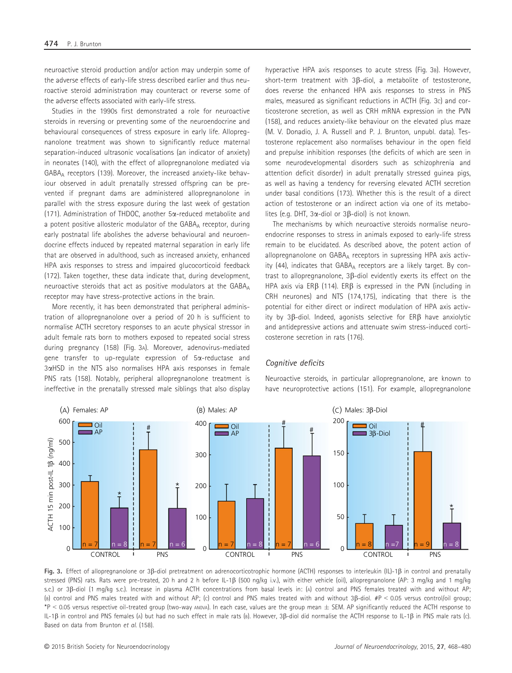neuroactive steroid production and/or action may underpin some of the adverse effects of early-life stress described earlier and thus neuroactive steroid administration may counteract or reverse some of the adverse effects associated with early-life stress.

Studies in the 1990s first demonstrated a role for neuroactive steroids in reversing or preventing some of the neuroendocrine and behavioural consequences of stress exposure in early life. Allopregnanolone treatment was shown to significantly reduce maternal separation-induced ultrasonic vocalisations (an indicator of anxiety) in neonates (140), with the effect of allopregnanolone mediated via GABAA receptors (139). Moreover, the increased anxiety-like behaviour observed in adult prenatally stressed offspring can be prevented if pregnant dams are administered allopregnanolone in parallel with the stress exposure during the last week of gestation (171). Administration of THDOC, another 5a-reduced metabolite and a potent positive allosteric modulator of the  $GABA<sub>A</sub>$  receptor, during early postnatal life abolishes the adverse behavioural and neuroendocrine effects induced by repeated maternal separation in early life that are observed in adulthood, such as increased anxiety, enhanced HPA axis responses to stress and impaired glucocorticoid feedback (172). Taken together, these data indicate that, during development, neuroactive steroids that act as positive modulators at the GABAA receptor may have stress-protective actions in the brain.

More recently, it has been demonstrated that peripheral administration of allopregnanolone over a period of 20 h is sufficient to normalise ACTH secretory responses to an acute physical stressor in adult female rats born to mothers exposed to repeated social stress during pregnancy (158) (Fig. 3A). Moreover, adenovirus-mediated gene transfer to up-regulate expression of 5a-reductase and 3aHSD in the NTS also normalises HPA axis responses in female PNS rats (158). Notably, peripheral allopregnanolone treatment is ineffective in the prenatally stressed male siblings that also display hyperactive HPA axis responses to acute stress (Fig. 3B). However, short-term treatment with  $3\beta$ -diol, a metabolite of testosterone, does reverse the enhanced HPA axis responses to stress in PNS males, measured as significant reductions in ACTH (Fig. 3C) and corticosterone secretion, as well as CRH mRNA expression in the PVN (158), and reduces anxiety-like behaviour on the elevated plus maze (M. V. Donadio, J. A. Russell and P. J. Brunton, unpubl. data). Testosterone replacement also normalises behaviour in the open field and prepulse inhibition responses (the deficits of which are seen in some neurodevelopmental disorders such as schizophrenia and attention deficit disorder) in adult prenatally stressed guinea pigs, as well as having a tendency for reversing elevated ACTH secretion under basal conditions (173). Whether this is the result of a direct action of testosterone or an indirect action via one of its metabolites (e.g. DHT,  $3\alpha$ -diol or  $3\beta$ -diol) is not known.

The mechanisms by which neuroactive steroids normalise neuroendocrine responses to stress in animals exposed to early-life stress remain to be elucidated. As described above, the potent action of allopregnanolone on GABAA receptors in supressing HPA axis activity (44), indicates that  $GABA_A$  receptors are a likely target. By contrast to allopregnanolone,  $3\beta$ -diol evidently exerts its effect on the HPA axis via  $ER\beta$  (114). ER $\beta$  is expressed in the PVN (including in CRH neurones) and NTS (174,175), indicating that there is the potential for either direct or indirect modulation of HPA axis activity by 3 $\beta$ -diol. Indeed, agonists selective for ER $\beta$  have anxiolytic and antidepressive actions and attenuate swim stress-induced corticosterone secretion in rats (176).

### Cognitive deficits



Neuroactive steroids, in particular allopregnanolone, are known to have neuroprotective actions (151). For example, allopregnanolone

Fig. 3. Effect of allopregnanolone or 3B-diol pretreatment on adrenocorticotrophic hormone (ACTH) responses to interleukin (IL)-1B in control and prenatally stressed (PNS) rats. Rats were pre-treated, 20 h and 2 h before IL-1b (500 ng/kg i.v.), with either vehicle (oil), allopregnanolone (AP: 3 mg/kg and 1 mg/kg s.c.) or 3b-diol (1 mg/kg s.c.). Increase in plasma ACTH concentrations from basal levels in: (A) control and PNS females treated with and without AP; (B) control and PNS males treated with and without AP; (C) control and PNS males treated with and without 3b-diol. #P < 0.05 versus control/oil group;  $*P < 0.05$  versus respective oil-treated group (two-way ANOVA). In each case, values are the group mean  $\pm$  SEM. AP significantly reduced the ACTH response to IL-1β in control and PNS females (A) but had no such effect in male rats (B). However, 3β-diol did normalise the ACTH response to IL-1β in PNS male rats (c). Based on data from Brunton et al. (158).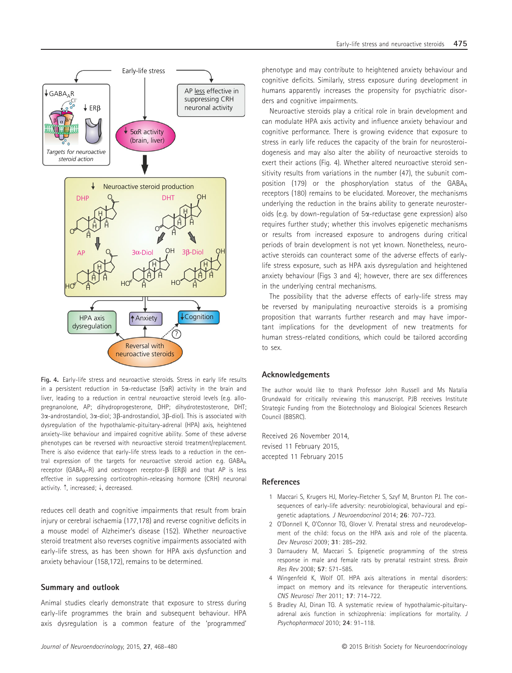

Fig. 4. Early-life stress and neuroactive steroids. Stress in early life results in a persistent reduction in  $5\alpha$ -reductase ( $5\alpha$ R) activity in the brain and liver, leading to a reduction in central neuroactive steroid levels (e.g. allopregnanolone, AP; dihydroprogesterone, DHP; dihydrotestosterone, DHT;  $3\alpha$ -androstandiol,  $3\alpha$ -diol;  $3\beta$ -androstandiol,  $3\beta$ -diol). This is associated with dysregulation of the hypothalamic-pituitary-adrenal (HPA) axis, heightened anxiety-like behaviour and impaired cognitive ability. Some of these adverse phenotypes can be reversed with neuroactive steroid treatment/replacement. There is also evidence that early-life stress leads to a reduction in the central expression of the targets for neuroactive steroid action e.g. GABAA receptor (GABA<sub>A</sub>-R) and oestrogen receptor- $\beta$  (ER $\beta$ ) and that AP is less effective in suppressing corticotrophin-releasing hormone (CRH) neuronal activity. ↑, increased; ↓, decreased.

reduces cell death and cognitive impairments that result from brain injury or cerebral ischaemia (177,178) and reverse cognitive deficits in a mouse model of Alzheimer's disease (152). Whether neuroactive steroid treatment also reverses cognitive impairments associated with early-life stress, as has been shown for HPA axis dysfunction and anxiety behaviour (158,172), remains to be determined.

#### Summary and outlook

Animal studies clearly demonstrate that exposure to stress during early-life programmes the brain and subsequent behaviour. HPA axis dysregulation is a common feature of the 'programmed'

phenotype and may contribute to heightened anxiety behaviour and cognitive deficits. Similarly, stress exposure during development in humans apparently increases the propensity for psychiatric disorders and cognitive impairments.

Neuroactive steroids play a critical role in brain development and can modulate HPA axis activity and influence anxiety behaviour and cognitive performance. There is growing evidence that exposure to stress in early life reduces the capacity of the brain for neurosteroidogenesis and may also alter the ability of neuroactive steroids to exert their actions (Fig. 4). Whether altered neuroactive steroid sensitivity results from variations in the number (47), the subunit composition (179) or the phosphorylation status of the  $GABA_A$ receptors (180) remains to be elucidated. Moreover, the mechanisms underlying the reduction in the brains ability to generate neurosteroids (e.g. by down-regulation of  $5\alpha$ -reductase gene expression) also requires further study; whether this involves epigenetic mechanisms or results from increased exposure to androgens during critical periods of brain development is not yet known. Nonetheless, neuroactive steroids can counteract some of the adverse effects of earlylife stress exposure, such as HPA axis dysregulation and heightened anxiety behaviour (Figs 3 and 4); however, there are sex differences in the underlying central mechanisms.

The possibility that the adverse effects of early-life stress may be reversed by manipulating neuroactive steroids is a promising proposition that warrants further research and may have important implications for the development of new treatments for human stress-related conditions, which could be tailored according to sex.

#### Acknowledgements

The author would like to thank Professor John Russell and Ms Natalia Grundwald for critically reviewing this manuscript. PJB receives Institute Strategic Funding from the Biotechnology and Biological Sciences Research Council (BBSRC).

Received 26 November 2014, revised 11 February 2015, accepted 11 February 2015

#### References

- 1 Maccari S, Krugers HJ, Morley-Fletcher S, Szyf M, Brunton PJ. The consequences of early-life adversity: neurobiological, behavioural and epigenetic adaptations. J Neuroendocrinol 2014; 26: 707-723.
- 2 O'Donnell K, O'Connor TG, Glover V. Prenatal stress and neurodevelopment of the child: focus on the HPA axis and role of the placenta. Dev Neurosci 2009; 31: 285–292.
- 3 Darnaudery M, Maccari S. Epigenetic programming of the stress response in male and female rats by prenatal restraint stress. Brain Res Rev 2008; 57: 571–585.
- 4 Wingenfeld K, Wolf OT. HPA axis alterations in mental disorders: impact on memory and its relevance for therapeutic interventions. CNS Neurosci Ther 2011; 17: 714–722.
- 5 Bradley AJ, Dinan TG. A systematic review of hypothalamic-pituitaryadrenal axis function in schizophrenia: implications for mortality. J Psychopharmacol 2010; 24: 91–118.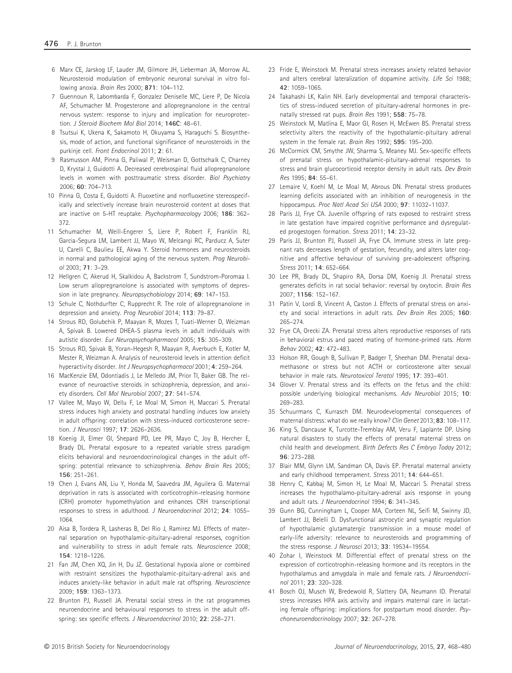- 6 Marx CE, Jarskog LF, Lauder JM, Gilmore JH, Lieberman JA, Morrow AL. Neurosteroid modulation of embryonic neuronal survival in vitro following anoxia. Brain Res 2000; 871: 104–112.
- 7 Guennoun R, Labombarda F, Gonzalez Deniselle MC, Liere P, De Nicola AF, Schumacher M. Progesterone and allopregnanolone in the central nervous system: response to injury and implication for neuroprotection. J Steroid Biochem Mol Biol 2014; 146C: 48–61.
- 8 Tsutsui K, Ukena K, Sakamoto H, Okuyama S, Haraguchi S. Biosynthesis, mode of action, and functional significance of neurosteroids in the
- purkinje cell. Front Endocrinol 2011; 2: 61. 9 Rasmusson AM, Pinna G, Paliwal P, Weisman D, Gottschalk C, Charney D, Krystal J, Guidotti A. Decreased cerebrospinal fluid allopregnanolone levels in women with posttraumatic stress disorder. Biol Psychiatry 2006; 60: 704–713.
- 10 Pinna G, Costa E, Guidotti A. Fluoxetine and norfluoxetine stereospecifically and selectively increase brain neurosteroid content at doses that are inactive on 5-HT reuptake. Psychopharmacology 2006; 186: 362– 372.
- 11 Schumacher M, Weill-Engerer S, Liere P, Robert F, Franklin RJ, Garcia-Segura LM, Lambert JJ, Mayo W, Melcangi RC, Parducz A, Suter U, Carelli C, Baulieu EE, Akwa Y. Steroid hormones and neurosteroids in normal and pathological aging of the nervous system. Prog Neurobiol 2003; 71: 3–29.
- 12 Hellgren C, Akerud H, Skalkidou A, Backstrom T, Sundstrom-Poromaa I. Low serum allopregnanolone is associated with symptoms of depression in late pregnancy. Neuropsychobiology 2014; 69: 147–153.
- 13 Schule C, Nothdurfter C, Rupprecht R. The role of allopregnanolone in depression and anxiety. Prog Neurobiol 2014; 113: 79–87.
- 14 Strous RD, Golubchik P, Maayan R, Mozes T, Tuati-Werner D, Weizman A, Spivak B. Lowered DHEA-S plasma levels in adult individuals with autistic disorder. Eur Neuropsychopharmacol 2005; 15: 305–309.
- 15 Strous RD, Spivak B, Yoran-Hegesh R, Maayan R, Averbuch E, Kotler M, Mester R, Weizman A. Analysis of neurosteroid levels in attention deficit hyperactivity disorder. Int J Neuropsychopharmacol 2001; 4: 259–264.
- 16 MacKenzie EM, Odontiadis J, Le Melledo JM, Prior TI, Baker GB. The relevance of neuroactive steroids in schizophrenia, depression, and anxiety disorders. Cell Mol Neurobiol 2007; 27: 541–574.
- 17 Vallee M, Mayo W, Dellu F, Le Moal M, Simon H, Maccari S. Prenatal stress induces high anxiety and postnatal handling induces low anxiety in adult offspring: correlation with stress-induced corticosterone secretion. J Neurosci 1997; 17: 2626–2636.
- 18 Koenig JI, Elmer GI, Shepard PD, Lee PR, Mayo C, Joy B, Hercher E, Brady DL. Prenatal exposure to a repeated variable stress paradigm elicits behavioral and neuroendocrinological changes in the adult offspring: potential relevance to schizophrenia. Behav Brain Res 2005; 156: 251–261.
- 19 Chen J, Evans AN, Liu Y, Honda M, Saavedra JM, Aguilera G. Maternal deprivation in rats is associated with corticotrophin-releasing hormone (CRH) promoter hypomethylation and enhances CRH transcriptional responses to stress in adulthood. J Neuroendocrinol 2012; <sup>24</sup>: 1055– 1064.
- 20 Aisa B, Tordera R, Lasheras B, Del Rio J, Ramirez MJ. Effects of maternal separation on hypothalamic-pituitary-adrenal responses, cognition and vulnerability to stress in adult female rats. Neuroscience 2008; 154: 1218–1226.
- 21 Fan JM, Chen XQ, Jin H, Du JZ. Gestational hypoxia alone or combined with restraint sensitizes the hypothalamic-pituitary-adrenal axis and induces anxiety-like behavior in adult male rat offspring. Neuroscience 2009; 159: 1363–1373.
- 22 Brunton PJ, Russell JA. Prenatal social stress in the rat programmes neuroendocrine and behavioural responses to stress in the adult offspring: sex specific effects. J Neuroendocrinol 2010; 22: 258–271.
- 23 Fride E, Weinstock M. Prenatal stress increases anxiety related behavior and alters cerebral lateralization of dopamine activity. Life Sci 1988;
- 42: 1059–1065. 24 Takahashi LK, Kalin NH. Early developmental and temporal characteristics of stress-induced secretion of pituitary-adrenal hormones in prenatally stressed rat pups. Brain Res 1991; 558: 75–78.
- 25 Weinstock M, Matlina E, Maor GI, Rosen H, McEwen BS. Prenatal stress selectivity alters the reactivity of the hypothalamic-pituitary adrenal system in the female rat. Brain Res 1992; 595: 195–200.
- 26 McCormick CM, Smythe JW, Sharma S, Meaney MJ. Sex-specific effects of prenatal stress on hypothalamic-pituitary-adrenal responses to stress and brain glucocorticoid receptor density in adult rats. Dev Brain Res 1995; 84: 55–61.
- 27 Lemaire V, Koehl M, Le Moal M, Abrous DN. Prenatal stress produces learning deficits associated with an inhibition of neurogenesis in the hippocampus. Proc Natl Acad Sci USA 2000; 97: 11032–11037.
- 28 Paris JJ, Frye CA. Juvenile offspring of rats exposed to restraint stress in late gestation have impaired cognitive performance and dysregulated progestogen formation. Stress 2011; 14: 23–32.
- 29 Paris JJ, Brunton PJ, Russell JA, Frye CA. Immune stress in late pregnant rats decreases length of gestation, fecundity, and alters later cognitive and affective behaviour of surviving pre-adolescent offspring. Stress 2011; 14: 652–664.
- 30 Lee PR, Brady DL, Shapiro RA, Dorsa DM, Koenig JI. Prenatal stress generates deficits in rat social behavior: reversal by oxytocin. Brain Res 2007; 1156: 152–167.
- 31 Patin V, Lordi B, Vincent A, Caston J. Effects of prenatal stress on anxiety and social interactions in adult rats. Dev Brain Res 2005; 160: 265–274.
- 32 Frye CA, Orecki ZA. Prenatal stress alters reproductive responses of rats in behavioral estrus and paced mating of hormone-primed rats. Horm
- Behav 2002; 42: 472–483. 33 Holson RR, Gough B, Sullivan P, Badger T, Sheehan DM. Prenatal dexamethasone or stress but not ACTH or corticosterone alter sexual behavior in male rats. Neurotoxicol Teratol 1995; 17: 393–401.
- 34 Glover V. Prenatal stress and its effects on the fetus and the child: possible underlying biological mechanisms. Adv Neurobiol 2015; 10: 269–283.
- 35 Schuurmans C, Kurrasch DM. Neurodevelopmental consequences of maternal distress: what do we really know? Clin Genet 2013; 83: 108–117.
- 36 King S, Dancause K, Turcotte-Tremblay AM, Veru F, Laplante DP. Using natural disasters to study the effects of prenatal maternal stress on child health and development. Birth Defects Res C Embryo Today 2012; 96: 273–288.
- 37 Blair MM, Glynn LM, Sandman CA, Davis EP. Prenatal maternal anxiety and early childhood temperament. Stress 2011; 14: 644–651.
- 38 Henry C, Kabbaj M, Simon H, Le Moal M, Maccari S. Prenatal stress increases the hypothalamo-pituitary-adrenal axis response in young and adult rats. J Neuroendocrinol 1994; 6: 341–345.
- 39 Gunn BG, Cunningham L, Cooper MA, Corteen NL, Seifi M, Swinny JD, Lambert JJ, Belelli D. Dysfunctional astrocytic and synaptic regulation of hypothalamic glutamatergic transmission in a mouse model of early-life adversity: relevance to neurosteroids and programming of the stress response. J Neurosci 2013; 33: 19534–19554.
- 40 Zohar I, Weinstock M. Differential effect of prenatal stress on the expression of corticotrophin-releasing hormone and its receptors in the hypothalamus and amygdala in male and female rats. J Neuroendocrinol 2011; 23: 320–328.
- 41 Bosch OJ, Musch W, Bredewold R, Slattery DA, Neumann ID. Prenatal stress increases HPA axis activity and impairs maternal care in lactating female offspring: implications for postpartum mood disorder. Psychoneuroendocrinology 2007; 32: 267–278.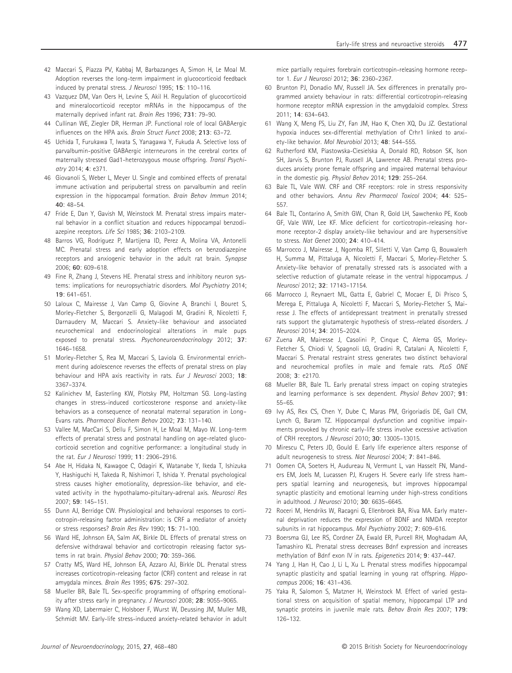- 42 Maccari S, Piazza PV, Kabbaj M, Barbazanges A, Simon H, Le Moal M. Adoption reverses the long-term impairment in glucocorticoid feedback induced by prenatal stress. J Neurosci 1995; 15: 110–116.
- 43 Vazquez DM, Van Oers H, Levine S, Akil H. Regulation of glucocorticoid and mineralocorticoid receptor mRNAs in the hippocampus of the maternally deprived infant rat. Brain Res 1996; 731: 79–90.
- 44 Cullinan WE, Ziegler DR, Herman JP. Functional role of local GABAergic influences on the HPA axis. Brain Struct Funct 2008; 213: 63–72.
- 45 Uchida T, Furukawa T, Iwata S, Yanagawa Y, Fukuda A. Selective loss of parvalbumin-positive GABAergic interneurons in the cerebral cortex of maternally stressed Gad1-heterozygous mouse offspring. Transl Psychiatry 2014; 4: e371.
- 46 Giovanoli S, Weber L, Meyer U. Single and combined effects of prenatal immune activation and peripubertal stress on parvalbumin and reelin expression in the hippocampal formation. Brain Behav Immun 2014; 40: 48–54.
- 47 Fride E, Dan Y, Gavish M, Weinstock M. Prenatal stress impairs maternal behavior in a conflict situation and reduces hippocampal benzodiazepine receptors. Life Sci 1985; 36: 2103–2109.
- 48 Barros VG, Rodriguez P, Martijena ID, Perez A, Molina VA, Antonelli MC. Prenatal stress and early adoption effects on benzodiazepine receptors and anxiogenic behavior in the adult rat brain. Synapse
- 2006; 60: 609–618. 49 Fine R, Zhang J, Stevens HE. Prenatal stress and inhibitory neuron systems: implications for neuropsychiatric disorders. Mol Psychiatry 2014; 19: 641–651.
- 50 Laloux C, Mairesse J, Van Camp G, Giovine A, Branchi I, Bouret S, Morley-Fletcher S, Bergonzelli G, Malagodi M, Gradini R, Nicoletti F, Darnaudery M, Maccari S. Anxiety-like behaviour and associated neurochemical and endocrinological alterations in male pups exposed to prenatal stress. Psychoneuroendocrinology 2012; 37: 1646–1658.
- 51 Morley-Fletcher S, Rea M, Maccari S, Laviola G. Environmental enrichment during adolescence reverses the effects of prenatal stress on play behaviour and HPA axis reactivity in rats. Eur J Neurosci 2003; 18: 3367–3374.
- 52 Kalinichev M, Easterling KW, Plotsky PM, Holtzman SG. Long-lasting changes in stress-induced corticosterone response and anxiety-like behaviors as a consequence of neonatal maternal separation in Long– Evans rats. Pharmacol Biochem Behav 2002; 73: 131–140.
- 53 Vallee M, MacCari S, Dellu F, Simon H, Le Moal M, Mayo W. Long-term effects of prenatal stress and postnatal handling on age-related glucocorticoid secretion and cognitive performance: a longitudinal study in the rat. Eur J Neurosci 1999; 11: 2906–2916.
- 54 Abe H, Hidaka N, Kawagoe C, Odagiri K, Watanabe Y, Ikeda T, Ishizuka Y, Hashiguchi H, Takeda R, Nishimori T, Ishida Y. Prenatal psychological stress causes higher emotionality, depression-like behavior, and elevated activity in the hypothalamo-pituitary-adrenal axis. Neurosci Res 2007; 59: 145–151.
- 55 Dunn AJ, Berridge CW. Physiological and behavioral responses to corticotropin-releasing factor administration: is CRF a mediator of anxiety or stress responses? Brain Res Rev 1990; <sup>15</sup>: 71–100.
- 56 Ward HE, Johnson EA, Salm AK, Birkle DL. Effects of prenatal stress on defensive withdrawal behavior and corticotropin releasing factor systems in rat brain. Physiol Behav 2000; 70: 359–366.
- 57 Cratty MS, Ward HE, Johnson EA, Azzaro AJ, Birkle DL. Prenatal stress increases corticotropin-releasing factor (CRF) content and release in rat amygdala minces. Brain Res 1995; 675: 297–302.
- 58 Mueller BR, Bale TL. Sex-specific programming of offspring emotionality after stress early in pregnancy. J Neurosci 2008; 28: 9055–9065.
- 59 Wang XD, Labermaier C, Holsboer F, Wurst W, Deussing JM, Muller MB, Schmidt MV. Early-life stress-induced anxiety-related behavior in adult

mice partially requires forebrain corticotropin-releasing hormone receptor 1. Eur J Neurosci 2012; 36: 2360-2367.

- 60 Brunton PJ, Donadio MV, Russell JA. Sex differences in prenatally programmed anxiety behaviour in rats: differential corticotropin-releasing hormone receptor mRNA expression in the amygdaloid complex. Stress 2011; 14: 634–643.
- 61 Wang X, Meng FS, Liu ZY, Fan JM, Hao K, Chen XQ, Du JZ. Gestational hypoxia induces sex-differential methylation of Crhr1 linked to anxiety-like behavior. Mol Neurobiol 2013; 48: 544–555.
- 62 Rutherford KM, Piastowska-Ciesielska A, Donald RD, Robson SK, Ison SH, Jarvis S, Brunton PJ, Russell JA, Lawrence AB. Prenatal stress produces anxiety prone female offspring and impaired maternal behaviour in the domestic pig. Physiol Behav 2014; 129: 255–264.
- 63 Bale TL, Vale WW. CRF and CRF receptors: role in stress responsivity and other behaviors. Annu Rev Pharmacol Toxicol 2004; 44: 525– 557.
- 64 Bale TL, Contarino A, Smith GW, Chan R, Gold LH, Sawchenko PE, Koob GF, Vale WW, Lee KF. Mice deficient for corticotropin-releasing hormone receptor-2 display anxiety-like behaviour and are hypersensitive to stress. Nat Genet 2000; 24: 410–414.
- 65 Marrocco J, Mairesse J, Ngomba RT, Silletti V, Van Camp G, Bouwalerh H, Summa M, Pittaluga A, Nicoletti F, Maccari S, Morley-Fletcher S. Anxiety-like behavior of prenatally stressed rats is associated with a selective reduction of glutamate release in the ventral hippocampus. J Neurosci 2012; 32: 17143–17154.
- 66 Marrocco J, Reynaert ML, Gatta E, Gabriel C, Mocaer E, Di Prisco S, Merega E, Pittaluga A, Nicoletti F, Maccari S, Morley-Fletcher S, Mairesse J. The effects of antidepressant treatment in prenatally stressed rats support the glutamatergic hypothesis of stress-related disorders. J Neurosci 2014; 34: 2015–2024.
- 67 Zuena AR, Mairesse J, Casolini P, Cinque C, Alema GS, Morley-Fletcher S, Chiodi V, Spagnoli LG, Gradini R, Catalani A, Nicoletti F, Maccari S. Prenatal restraint stress generates two distinct behavioral and neurochemical profiles in male and female rats. PLoS ONE
- 2008; 3: e2170. 68 Mueller BR, Bale TL. Early prenatal stress impact on coping strategies and learning performance is sex dependent. Physiol Behav 2007; 91: 55–65.
- 69 Ivy AS, Rex CS, Chen Y, Dube C, Maras PM, Grigoriadis DE, Gall CM, Lynch G, Baram TZ. Hippocampal dysfunction and cognitive impairments provoked by chronic early-life stress involve excessive activation of CRH receptors. J Neurosci 2010; 30: 13005–13015.
- 70 Mirescu C, Peters JD, Gould E. Early life experience alters response of adult neurogenesis to stress. Nat Neurosci 2004; 7: 841–846.
- 71 Oomen CA, Soeters H, Audureau N, Vermunt L, van Hasselt FN, Manders EM, Joels M, Lucassen PJ, Krugers H. Severe early life stress hampers spatial learning and neurogenesis, but improves hippocampal synaptic plasticity and emotional learning under high-stress conditions in adulthood. J Neurosci 2010; 30: 6635–6645.
- 72 Roceri M, Hendriks W, Racagni G, Ellenbroek BA, Riva MA. Early maternal deprivation reduces the expression of BDNF and NMDA receptor subunits in rat hippocampus. Mol Psychiatry 2002; 7: 609–616.
- 73 Boersma GJ, Lee RS, Cordner ZA, Ewald ER, Purcell RH, Moghadam AA, Tamashiro KL. Prenatal stress decreases Bdnf expression and increases methylation of Bdnf exon IV in rats. Epigenetics 2014; 9: 437–447.
- 74 Yang J, Han H, Cao J, Li L, Xu L. Prenatal stress modifies hippocampal synaptic plasticity and spatial learning in young rat offspring. Hippocampus 2006; 16: 431–436.
- 75 Yaka R, Salomon S, Matzner H, Weinstock M. Effect of varied gestational stress on acquisition of spatial memory, hippocampal LTP and synaptic proteins in juvenile male rats. Behav Brain Res 2007; 179: 126–132.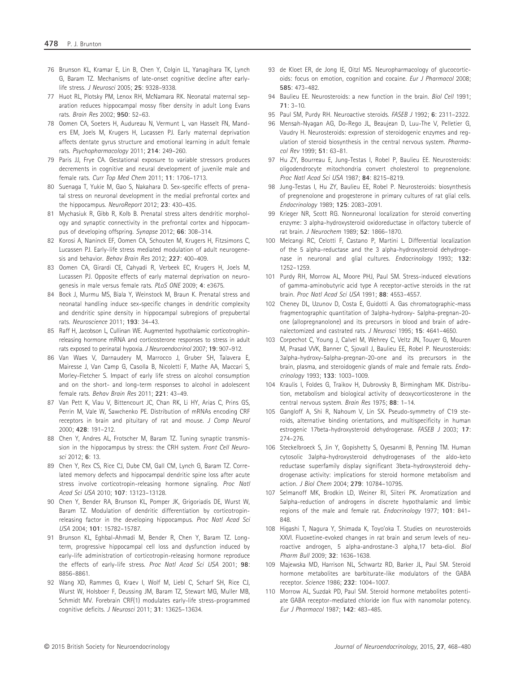- 76 Brunson KL, Kramar E, Lin B, Chen Y, Colgin LL, Yanagihara TK, Lynch G, Baram TZ. Mechanisms of late-onset cognitive decline after earlylife stress. J Neurosci 2005; 25: 9328–9338.
- 77 Huot RL, Plotsky PM, Lenox RH, McNamara RK. Neonatal maternal separation reduces hippocampal mossy fiber density in adult Long Evans rats. Brain Res 2002; 950: 52–63.
- 78 Oomen CA, Soeters H, Audureau N, Vermunt L, van Hasselt FN, Manders EM, Joels M, Krugers H, Lucassen PJ. Early maternal deprivation affects dentate gyrus structure and emotional learning in adult female rats. Psychopharmacology 2011; 214: 249–260.
- 79 Paris JJ, Frye CA. Gestational exposure to variable stressors produces decrements in cognitive and neural development of juvenile male and female rats. Curr Top Med Chem 2011; 11: 1706–1713.
- 80 Suenaga T, Yukie M, Gao S, Nakahara D. Sex-specific effects of prenatal stress on neuronal development in the medial prefrontal cortex and the hippocampus. NeuroReport 2012; 23: 430–435.
- 81 Mychasiuk R, Gibb R, Kolb B. Prenatal stress alters dendritic morphology and synaptic connectivity in the prefrontal cortex and hippocampus of developing offspring. Synapse 2012; 66: 308–314.
- 82 Korosi A, Naninck EF, Oomen CA, Schouten M, Krugers H, Fitzsimons C, Lucassen PJ. Early-life stress mediated modulation of adult neurogenesis and behavior. Behav Brain Res 2012; 227: 400–409.
- 83 Oomen CA, Girardi CE, Cahyadi R, Verbeek EC, Krugers H, Joels M, Lucassen PJ. Opposite effects of early maternal deprivation on neurogenesis in male versus female rats. PLoS ONE 2009; 4: e3675.
- 84 Bock J, Murmu MS, Biala Y, Weinstock M, Braun K. Prenatal stress and neonatal handling induce sex-specific changes in dendritic complexity and dendritic spine density in hippocampal subregions of prepubertal rats. Neuroscience 2011; 193: 34–43.
- 85 Raff H, Jacobson L, Cullinan WE. Augmented hypothalamic corticotrophinreleasing hormone mRNA and corticosterone responses to stress in adult rats exposed to perinatal hypoxia. J Neuroendocrinol 2007; 19: 907–912.
- 86 Van Waes V, Darnaudery M, Marrocco J, Gruber SH, Talavera E, Mairesse J, Van Camp G, Casolla B, Nicoletti F, Mathe AA, Maccari S, Morley-Fletcher S. Impact of early life stress on alcohol consumption and on the short- and long-term responses to alcohol in adolescent female rats. Behav Brain Res 2011; 221: 43–49.
- 87 Van Pett K, Viau V, Bittencourt JC, Chan RK, Li HY, Arias C, Prins GS, Perrin M, Vale W, Sawchenko PE. Distribution of mRNAs encoding CRF receptors in brain and pituitary of rat and mouse. J Comp Neurol 2000; 428: 191–212.
- 88 Chen Y, Andres AL, Frotscher M, Baram TZ. Tuning synaptic transmission in the hippocampus by stress: the CRH system. Front Cell Neurosci 2012; 6: 13.
- 89 Chen Y, Rex CS, Rice CJ, Dube CM, Gall CM, Lynch G, Baram TZ. Correlated memory defects and hippocampal dendritic spine loss after acute stress involve corticotropin-releasing hormone signaling. Proc Natl Acad Sci USA 2010; <sup>107</sup>: 13123–13128.
- 90 Chen Y, Bender RA, Brunson KL, Pomper JK, Grigoriadis DE, Wurst W, Baram TZ. Modulation of dendritic differentiation by corticotropinreleasing factor in the developing hippocampus. Proc Natl Acad Sci USA 2004; 101: 15782–15787.
- 91 Brunson KL, Eghbal-Ahmadi M, Bender R, Chen Y, Baram TZ. Longterm, progressive hippocampal cell loss and dysfunction induced by early-life administration of corticotropin-releasing hormone reproduce the effects of early-life stress. Proc Natl Acad Sci USA 2001; 98: 8856–8861.
- 92 Wang XD, Rammes G, Kraev I, Wolf M, Liebl C, Scharf SH, Rice CJ, Wurst W, Holsboer F, Deussing JM, Baram TZ, Stewart MG, Muller MB, Schmidt MV. Forebrain CRF(1) modulates early-life stress-programmed cognitive deficits. J Neurosci 2011; 31: 13625–13634.
- 93 de Kloet ER, de Jong IE, Oitzl MS. Neuropharmacology of glucocorticoids: focus on emotion, cognition and cocaine. Eur J Pharmacol 2008; 585: 473–482.
- 94 Baulieu EE. Neurosteroids: a new function in the brain. Biol Cell 1991: 71: 3–10.
- 95 Paul SM, Purdy RH. Neuroactive steroids. FASEB J 1992; 6: 2311–2322.
- 96 Mensah-Nyagan AG, Do-Rego JL, Beaujean D, Luu-The V, Pelletier G, Vaudry H. Neurosteroids: expression of steroidogenic enzymes and regulation of steroid biosynthesis in the central nervous system. Pharmacol Rev 1999; 51: 63–81.
- 97 Hu ZY, Bourreau E, Jung-Testas I, Robel P, Baulieu EE. Neurosteroids: oligodendrocyte mitochondria convert cholesterol to pregnenolone. Proc Natl Acad Sci USA 1987; 84: 8215–8219.
- 98 Jung-Testas I, Hu ZY, Baulieu EE, Robel P. Neurosteroids: biosynthesis of pregnenolone and progesterone in primary cultures of rat glial cells. Endocrinology 1989; 125: 2083–2091.
- 99 Krieger NR, Scott RG. Nonneuronal localization for steroid converting enzyme: 3 alpha-hydroxysteroid oxidoreductase in olfactory tubercle of rat brain. J Neurochem 1989; 52: 1866–1870.
- 100 Melcangi RC, Celotti F, Castano P, Martini L. Differential localization of the 5 alpha-reductase and the 3 alpha-hydroxysteroid dehydrogenase in neuronal and glial cultures. Endocrinology 1993; 132: 1252–1259.
- 101 Purdy RH, Morrow AL, Moore PHJ, Paul SM. Stress-induced elevations of gamma-aminobutyric acid type A receptor-active steroids in the rat brain. Proc Natl Acad Sci USA 1991; 88: 4553–4557.
- 102 Cheney DL, Uzunov D, Costa E, Guidotti A. Gas chromatographic-mass fragmentographic quantitation of 3alpha-hydroxy- 5alpha-pregnan-20 one (allopregnanolone) and its precursors in blood and brain of adrenalectomized and castrated rats. J Neurosci 1995; 15: 4641–4650.
- 103 Corpechot C, Young J, Calvel M, Wehrey C, Veltz JN, Touyer G, Mouren M, Prasad VVK, Banner C, Sjovall J, Baulieu EE, Robel P. Neurosteroids: 3alpha-hydroxy-5alpha-pregnan-20-one and its precursors in the brain, plasma, and steroidogenic glands of male and female rats. Endocrinology 1993; 133: 1003–1009.
- 104 Kraulis I, Foldes G, Traikov H, Dubrovsky B, Birmingham MK. Distribution, metabolism and biological activity of deoxycorticosterone in the central nervous system. Brain Res 1975; 88: 1–14.
- 105 Gangloff A, Shi R, Nahoum V, Lin SX. Pseudo-symmetry of C19 steroids, alternative binding orientations, and multispecificity in human estrogenic 17beta-hydroxysteroid dehydrogenase. FASEB J 2003; 17: 274–276.
- 106 Steckelbroeck S, Jin Y, Gopishetty S, Oyesanmi B, Penning TM. Human cytosolic 3alpha-hydroxysteroid dehydrogenases of the aldo-keto reductase superfamily display significant 3beta-hydroxysteroid dehydrogenase activity: implications for steroid hormone metabolism and action. J Biol Chem 2004; 279: 10784–10795.
- 107 Selmanoff MK, Brodkin LD, Weiner RI, Siiteri PK. Aromatization and 5alpha-reduction of androgens in discrete hypothalamic and limbic regions of the male and female rat. Endocrinology 1977; 101: 841– 848.
- 108 Higashi T, Nagura Y, Shimada K, Toyo'oka T. Studies on neurosteroids XXVI. Fluoxetine-evoked changes in rat brain and serum levels of neuroactive androgen, 5 alpha-androstane-3 alpha,17 beta-diol. Biol Pharm Bull 2009; 32: 1636–1638.
- 109 Majewska MD, Harrison NL, Schwartz RD, Barker JL, Paul SM. Steroid hormone metabolites are barbiturate-like modulators of the GABA receptor. Science 1986; 232: 1004–1007.
- 110 Morrow AL, Suzdak PD, Paul SM. Steroid hormone metabolites potentiate GABA receptor-mediated chloride ion flux with nanomolar potency. Eur J Pharmacol 1987; 142: 483–485.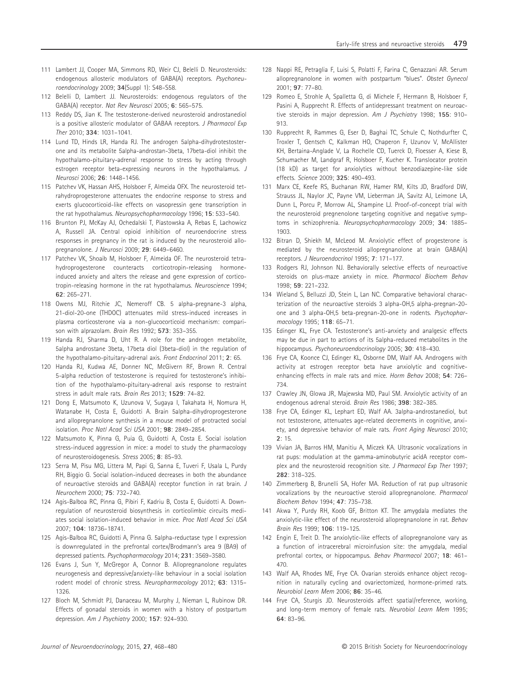- 111 Lambert JJ, Cooper MA, Simmons RD, Weir CJ, Belelli D. Neurosteroids: endogenous allosteric modulators of GABA(A) receptors. Psychoneuroendocrinology 2009; 34(Suppl 1): S48–S58.
- 112 Belelli D, Lambert JJ. Neurosteroids: endogenous regulators of the GABA(A) receptor. Nat Rev Neurosci 2005; 6: 565–575.
- 113 Reddy DS, Jian K. The testosterone-derived neurosteroid androstanediol is a positive allosteric modulator of GABAA receptors. J Pharmacol Exp Ther 2010; 334: 1031–1041.
- 114 Lund TD, Hinds LR, Handa RJ. The androgen 5alpha-dihydrotestosterone and its metabolite 5alpha-androstan-3beta, 17beta-diol inhibit the hypothalamo-pituitary-adrenal response to stress by acting through estrogen receptor beta-expressing neurons in the hypothalamus. J Neurosci 2006; 26: 1448–1456.
- 115 Patchev VK, Hassan AHS, Holsboer F, Almeida OFX. The neurosteroid tetrahydroprogesterone attenuates the endocrine response to stress and exerts glucocorticoid-like effects on vasopressin gene transcription in the rat hypothalamus. Neuropsychopharmacology 1996; 15: 533–540.
- 116 Brunton PJ, McKay AJ, Ochedalski T, Piastowska A, Rebas E, Lachowicz A, Russell JA. Central opioid inhibition of neuroendocrine stress responses in pregnancy in the rat is induced by the neurosteroid allopregnanolone. J Neurosci 2009; 29: 6449–6460.
- 117 Patchev VK, Shoaib M, Holsboer F, Almeida OF. The neurosteroid tetrahydroprogesterone counteracts corticotropin-releasing hormoneinduced anxiety and alters the release and gene expression of corticotropin-releasing hormone in the rat hypothalamus. Neuroscience 1994;
- 62: 265–271. 118 Owens MJ, Ritchie JC, Nemeroff CB. 5 alpha-pregnane-3 alpha, 21-diol-20-one (THDOC) attenuates mild stress-induced increases in plasma corticosterone via a non-glucocorticoid mechanism: comparison with alprazolam. Brain Res 1992; 573: 353-355.
- 119 Handa RJ, Sharma D, Uht R. A role for the androgen metabolite, 5alpha androstane 3beta, 17beta diol (3beta-diol) in the regulation of the hypothalamo-pituitary-adrenal axis. Front Endocrinol 2011; 2: 65.
- 120 Handa RJ, Kudwa AE, Donner NC, McGivern RF, Brown R. Central 5-alpha reduction of testosterone is required for testosterone's inhibition of the hypothalamo-pituitary-adrenal axis response to restraint stress in adult male rats. Brain Res 2013; 1529: 74–82.
- 121 Dong E, Matsumoto K, Uzunova V, Sugaya I, Takahata H, Nomura H, Watanabe H, Costa E, Guidotti A. Brain 5alpha-dihydroprogesterone and allopregnanolone synthesis in a mouse model of protracted social isolation. Proc Natl Acad Sci USA 2001; 98: 2849–2854.
- 122 Matsumoto K, Pinna G, Puia G, Guidotti A, Costa E. Social isolation stress-induced aggression in mice: a model to study the pharmacology of neurosteroidogenesis. Stress 2005; 8: 85–93.
- 123 Serra M, Pisu MG, Littera M, Papi G, Sanna E, Tuveri F, Usala L, Purdy RH, Biggio G. Social isolation-induced decreases in both the abundance of neuroactive steroids and GABA(A) receptor function in rat brain. J Neurochem 2000; 75: 732–740.
- 124 Agis-Balboa RC, Pinna G, Pibiri F, Kadriu B, Costa E, Guidotti A. Downregulation of neurosteroid biosynthesis in corticolimbic circuits mediates social isolation-induced behavior in mice. Proc Natl Acad Sci USA 2007; 104: 18736–18741.
- 125 Agis-Balboa RC, Guidotti A, Pinna G. 5alpha-reductase type I expression is downregulated in the prefrontal cortex/Brodmann's area 9 (BA9) of depressed patients. Psychopharmacology 2014; 231: 3569–3580.
- 126 Evans J, Sun Y, McGregor A, Connor B. Allopregnanolone regulates neurogenesis and depressive/anxiety-like behaviour in a social isolation rodent model of chronic stress. Neuropharmacology 2012; 63: 1315– 1326.
- 127 Bloch M, Schmidt PJ, Danaceau M, Murphy J, Nieman L, Rubinow DR. Effects of gonadal steroids in women with a history of postpartum depression. Am J Psychiatry 2000; 157: 924–930.
- 128 Nappi RE, Petraglia F, Luisi S, Polatti F, Farina C, Genazzani AR. Serum allopregnanolone in women with postpartum "blues". Obstet Gynecol 2001; 97: 77–80.
- 129 Romeo E, Strohle A, Spalletta G, di Michele F, Hermann B, Holsboer F, Pasini A, Rupprecht R. Effects of antidepressant treatment on neuroactive steroids in major depression. Am J Psychiatry 1998; 155: 910– 913.
- 130 Rupprecht R, Rammes G, Eser D, Baghai TC, Schule C, Nothdurfter C, Troxler T, Gentsch C, Kalkman HO, Chaperon F, Uzunov V, McAllister KH, Bertaina-Anglade V, La Rochelle CD, Tuerck D, Floesser A, Kiese B, Schumacher M, Landgraf R, Holsboer F, Kucher K. Translocator protein (18 kD) as target for anxiolytics without benzodiazepine-like side effects. Science 2009; 325: 490–493.
- 131 Marx CE, Keefe RS, Buchanan RW, Hamer RM, Kilts JD, Bradford DW, Strauss JL, Naylor JC, Payne VM, Lieberman JA, Savitz AJ, Leimone LA, Dunn L, Porcu P, Morrow AL, Shampine LJ. Proof-of-concept trial with the neurosteroid pregnenolone targeting cognitive and negative symptoms in schizophrenia. Neuropsychopharmacology 2009; 34: 1885– 1903.
- 132 Bitran D, Shiekh M, McLeod M. Anxiolytic effect of progesterone is mediated by the neurosteroid allopregnanolone at brain GABA(A) receptors. J Neuroendocrinol 1995; 7: 171–177.
- 133 Rodgers RJ, Johnson NJ. Behaviorally selective effects of neuroactive steroids on plus-maze anxiety in mice. Pharmacol Biochem Behav 1998; 59: 221–232.
- 134 Wieland S, Belluzzi JD, Stein L, Lan NC. Comparative behavioral characterization of the neuroactive steroids 3 alpha-OH,5 alpha-pregnan-20 one and 3 alpha-OH,5 beta-pregnan-20-one in rodents. Psychopharmacology 1995; 118: 65–71.
- 135 Edinger KL, Frye CA. Testosterone's anti-anxiety and analgesic effects may be due in part to actions of its 5alpha-reduced metabolites in the hippocampus. Psychoneuroendocrinology 2005; 30: 418-430.
- 136 Frye CA, Koonce CJ, Edinger KL, Osborne DM, Walf AA. Androgens with activity at estrogen receptor beta have anxiolytic and cognitiveenhancing effects in male rats and mice. Horm Behav 2008; 54: 726– 734.
- 137 Crawley JN, Glowa JR, Majewska MD, Paul SM. Anxiolytic activity of an endogenous adrenal steroid. Brain Res 1986; 398: 382–385.
- 138 Frye CA, Edinger KL, Lephart ED, Walf AA. 3alpha-androstanediol, but not testosterone, attenuates age-related decrements in cognitive, anxiety, and depressive behavior of male rats. Front Aging Neurosci 2010;
- 2: 15. 139 Vivian JA, Barros HM, Manitiu A, Miczek KA. Ultrasonic vocalizations in rat pups: modulation at the gamma-aminobutyric acidA receptor complex and the neurosteroid recognition site. J Pharmacol Exp Ther 1997; 282: 318–325.
- 140 Zimmerberg B, Brunelli SA, Hofer MA. Reduction of rat pup ultrasonic vocalizations by the neuroactive steroid allopregnanolone. Pharmacol Biochem Behav 1994; 47: 735–738.
- 141 Akwa Y, Purdy RH, Koob GF, Britton KT. The amygdala mediates the anxiolytic-like effect of the neurosteroid allopregnanolone in rat. Behav Brain Res 1999; 106: 119–125.
- 142 Engin E, Treit D. The anxiolytic-like effects of allopregnanolone vary as a function of intracerebral microinfusion site: the amygdala, medial prefrontal cortex, or hippocampus. Behav Pharmacol 2007; 18: 461– 470.
- 143 Walf AA, Rhodes ME, Frye CA. Ovarian steroids enhance object recognition in naturally cycling and ovariectomized, hormone-primed rats. Neurobiol Learn Mem 2006; 86: 35–46.
- 144 Frye CA, Sturgis JD. Neurosteroids affect spatial/reference, working, and long-term memory of female rats. Neurobiol Learn Mem 1995; 64: 83–96.